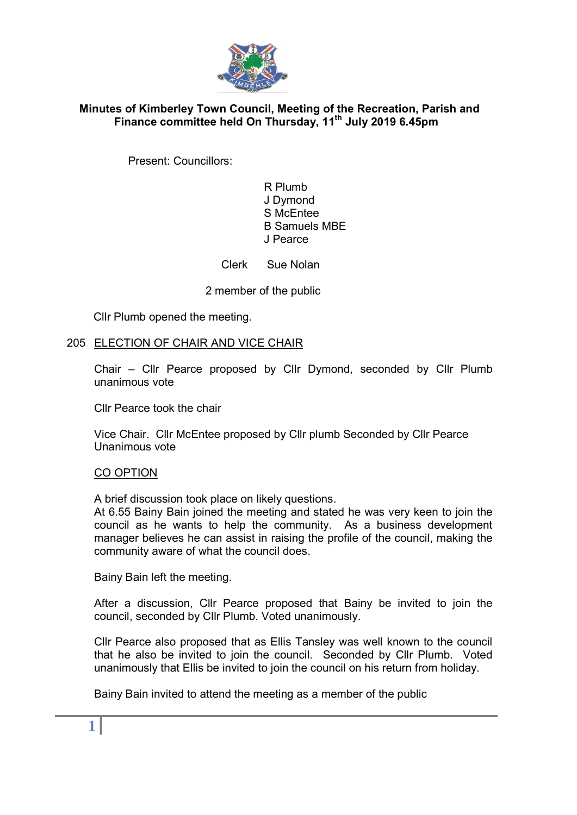

# Minutes of Kimberley Town Council, Meeting of the Recreation, Parish and Finance committee held On Thursday, 11<sup>th</sup> July 2019 6.45pm

Present: Councillors:

 R Plumb J Dymond S McEntee B Samuels MBE J Pearce

Clerk Sue Nolan

2 member of the public

Cllr Plumb opened the meeting.

## 205 ELECTION OF CHAIR AND VICE CHAIR

Chair – Cllr Pearce proposed by Cllr Dymond, seconded by Cllr Plumb unanimous vote

Cllr Pearce took the chair

Vice Chair. Cllr McEntee proposed by Cllr plumb Seconded by Cllr Pearce Unanimous vote

#### CO OPTION

A brief discussion took place on likely questions.

At 6.55 Bainy Bain joined the meeting and stated he was very keen to join the council as he wants to help the community. As a business development manager believes he can assist in raising the profile of the council, making the community aware of what the council does.

Bainy Bain left the meeting.

After a discussion, Cllr Pearce proposed that Bainy be invited to join the council, seconded by Cllr Plumb. Voted unanimously.

Cllr Pearce also proposed that as Ellis Tansley was well known to the council that he also be invited to join the council. Seconded by Cllr Plumb. Voted unanimously that Ellis be invited to join the council on his return from holiday.

Bainy Bain invited to attend the meeting as a member of the public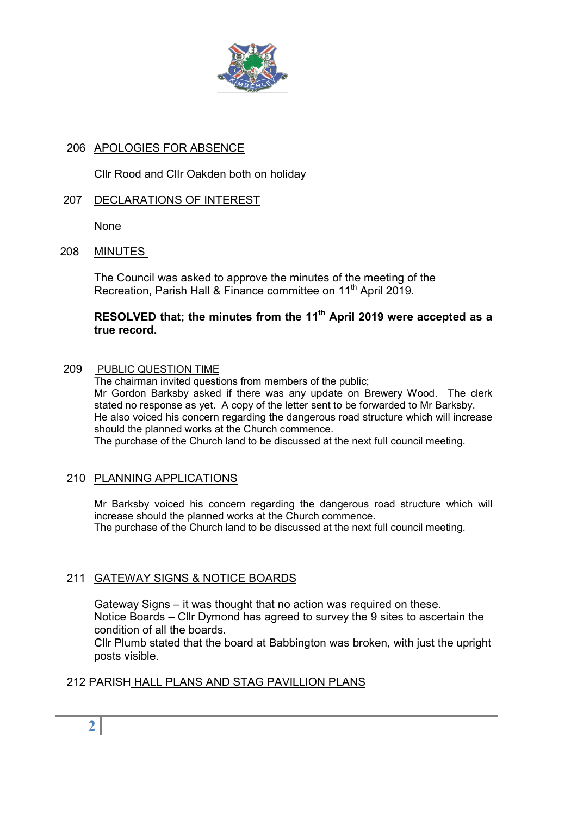

# 206 APOLOGIES FOR ABSENCE

Cllr Rood and Cllr Oakden both on holiday

## 207 DECLARATIONS OF INTEREST

None

208 MINUTES

The Council was asked to approve the minutes of the meeting of the Recreation, Parish Hall & Finance committee on 11<sup>th</sup> April 2019.

## RESOLVED that; the minutes from the 11<sup>th</sup> April 2019 were accepted as a true record.

#### 209 PUBLIC QUESTION TIME

 The chairman invited questions from members of the public; Mr Gordon Barksby asked if there was any update on Brewery Wood. The clerk stated no response as yet. A copy of the letter sent to be forwarded to Mr Barksby. He also voiced his concern regarding the dangerous road structure which will increase should the planned works at the Church commence.

The purchase of the Church land to be discussed at the next full council meeting.

## 210 PLANNING APPLICATIONS

Mr Barksby voiced his concern regarding the dangerous road structure which will increase should the planned works at the Church commence. The purchase of the Church land to be discussed at the next full council meeting.

## 211 GATEWAY SIGNS & NOTICE BOARDS

 Gateway Signs – it was thought that no action was required on these. Notice Boards – Cllr Dymond has agreed to survey the 9 sites to ascertain the condition of all the boards.

 Cllr Plumb stated that the board at Babbington was broken, with just the upright posts visible.

## 212 PARISH HALL PLANS AND STAG PAVILLION PLANS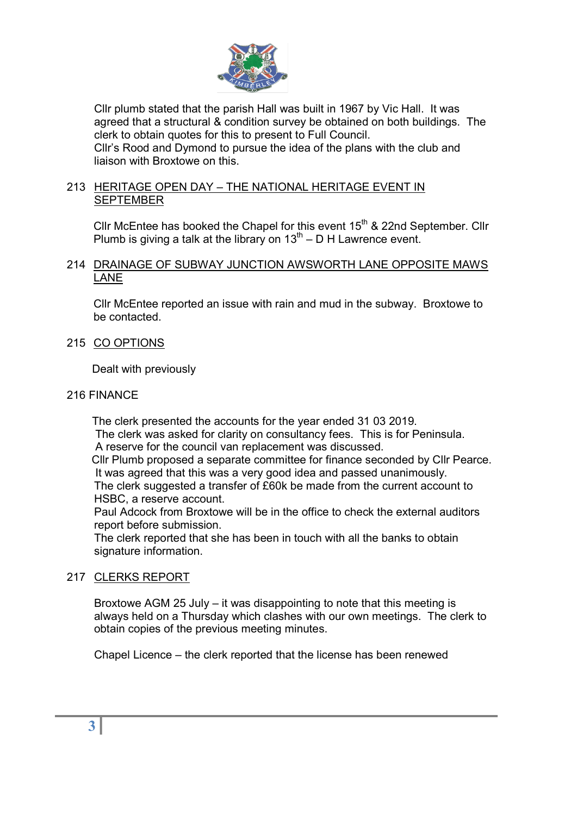

 Cllr plumb stated that the parish Hall was built in 1967 by Vic Hall. It was agreed that a structural & condition survey be obtained on both buildings. The clerk to obtain quotes for this to present to Full Council. Cllr's Rood and Dymond to pursue the idea of the plans with the club and liaison with Broxtowe on this.

# 213 HERITAGE OPEN DAY – THE NATIONAL HERITAGE EVENT IN SEPTEMBER

Cllr McEntee has booked the Chapel for this event  $15<sup>th</sup>$  & 22nd September. Cllr Plumb is giving a talk at the library on  $13<sup>th</sup> - D H$  Lawrence event.

#### 214 DRAINAGE OF SUBWAY JUNCTION AWSWORTH LANE OPPOSITE MAWS LANE

 Cllr McEntee reported an issue with rain and mud in the subway. Broxtowe to be contacted.

215 CO OPTIONS

Dealt with previously

#### 216 FINANCE

 The clerk presented the accounts for the year ended 31 03 2019. The clerk was asked for clarity on consultancy fees. This is for Peninsula. A reserve for the council van replacement was discussed.

 Cllr Plumb proposed a separate committee for finance seconded by Cllr Pearce. It was agreed that this was a very good idea and passed unanimously. The clerk suggested a transfer of £60k be made from the current account to HSBC, a reserve account.

Paul Adcock from Broxtowe will be in the office to check the external auditors report before submission.

The clerk reported that she has been in touch with all the banks to obtain signature information.

## 217 CLERKS REPORT

 Broxtowe AGM 25 July – it was disappointing to note that this meeting is always held on a Thursday which clashes with our own meetings. The clerk to obtain copies of the previous meeting minutes.

Chapel Licence – the clerk reported that the license has been renewed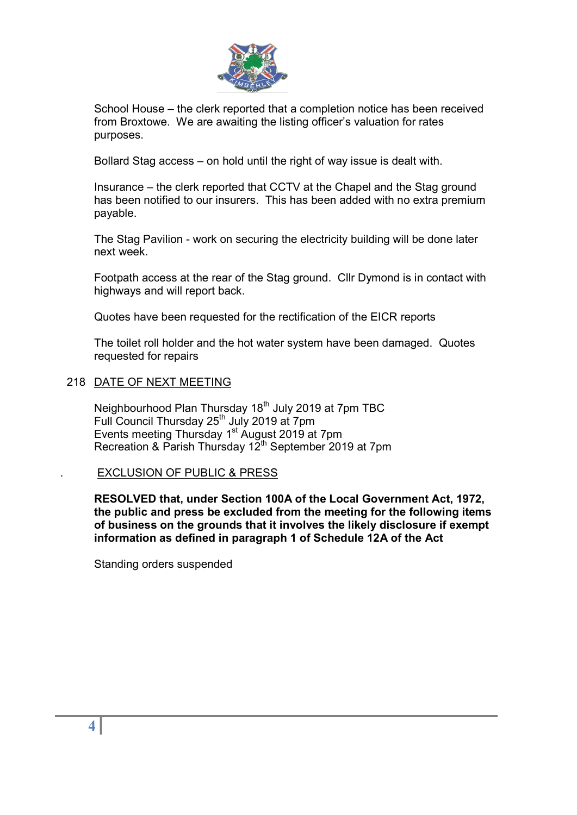

 School House – the clerk reported that a completion notice has been received from Broxtowe. We are awaiting the listing officer's valuation for rates purposes.

Bollard Stag access – on hold until the right of way issue is dealt with.

 Insurance – the clerk reported that CCTV at the Chapel and the Stag ground has been notified to our insurers. This has been added with no extra premium payable.

 The Stag Pavilion - work on securing the electricity building will be done later next week.

 Footpath access at the rear of the Stag ground. Cllr Dymond is in contact with highways and will report back.

Quotes have been requested for the rectification of the EICR reports

 The toilet roll holder and the hot water system have been damaged. Quotes requested for repairs

#### 218 DATE OF NEXT MEETING

Neighbourhood Plan Thursday 18<sup>th</sup> July 2019 at 7pm TBC Full Council Thursday  $25<sup>th</sup>$  July 2019 at 7pm Events meeting Thursday 1<sup>st</sup> August 2019 at 7pm Recreation & Parish Thursday  $12^{th}$  September 2019 at 7pm

#### . EXCLUSION OF PUBLIC & PRESS

RESOLVED that, under Section 100A of the Local Government Act, 1972, the public and press be excluded from the meeting for the following items of business on the grounds that it involves the likely disclosure if exempt information as defined in paragraph 1 of Schedule 12A of the Act

Standing orders suspended